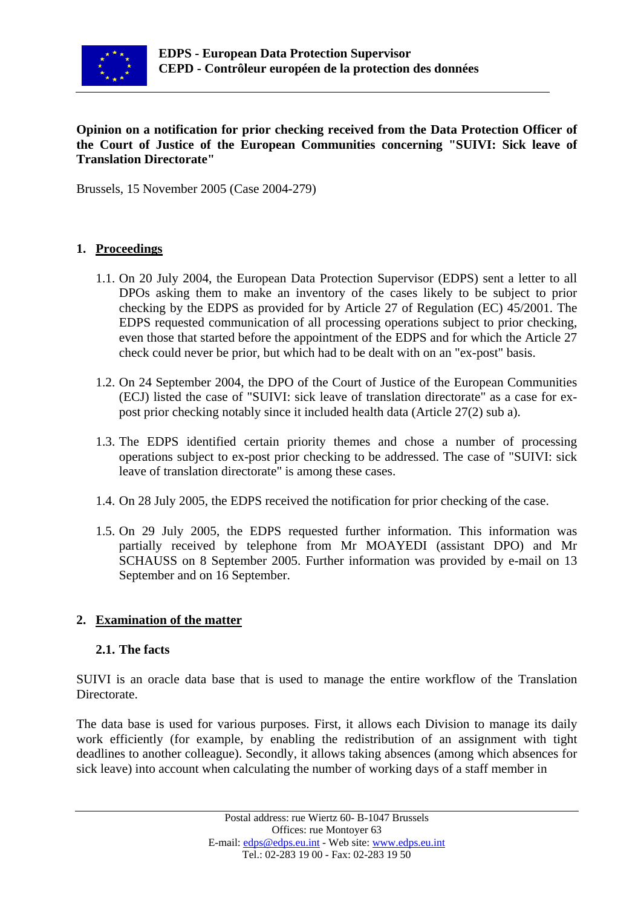

#### **Opinion on a notification for prior checking received from the Data Protection Officer of the Court of Justice of the European Communities concerning "SUIVI: Sick leave of Translation Directorate"**

Brussels, 15 November 2005 (Case 2004-279)

### **1. Proceedings**

- 1.1. On 20 July 2004, the European Data Protection Supervisor (EDPS) sent a letter to all DPOs asking them to make an inventory of the cases likely to be subject to prior checking by the EDPS as provided for by Article 27 of Regulation (EC) 45/2001. The EDPS requested communication of all processing operations subject to prior checking, even those that started before the appointment of the EDPS and for which the Article 27 check could never be prior, but which had to be dealt with on an "ex-post" basis.
- 1.2. On 24 September 2004, the DPO of the Court of Justice of the European Communities (ECJ) listed the case of "SUIVI: sick leave of translation directorate" as a case for expost prior checking notably since it included health data (Article 27(2) sub a).
- 1.3. The EDPS identified certain priority themes and chose a number of processing operations subject to ex-post prior checking to be addressed. The case of "SUIVI: sick leave of translation directorate" is among these cases.
- 1.4. On 28 July 2005, the EDPS received the notification for prior checking of the case.
- 1.5. On 29 July 2005, the EDPS requested further information. This information was partially received by telephone from Mr MOAYEDI (assistant DPO) and Mr SCHAUSS on 8 September 2005. Further information was provided by e-mail on 13 September and on 16 September.

### **2. Examination of the matter**

#### **2.1. The facts**

SUIVI is an oracle data base that is used to manage the entire workflow of the Translation Directorate.

The data base is used for various purposes. First, it allows each Division to manage its daily work efficiently (for example, by enabling the redistribution of an assignment with tight deadlines to another colleague). Secondly, it allows taking absences (among which absences for sick leave) into account when calculating the number of working days of a staff member in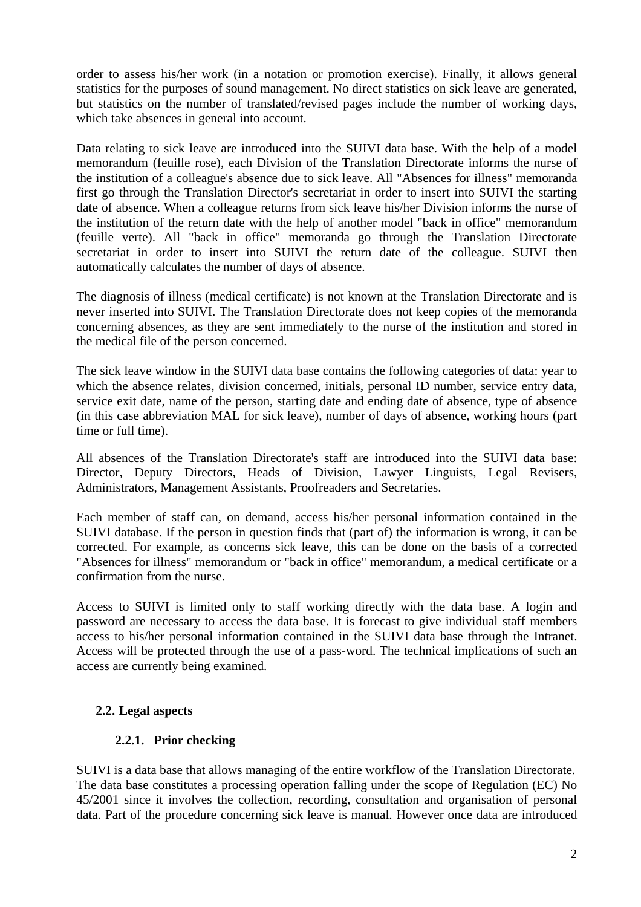order to assess his/her work (in a notation or promotion exercise). Finally, it allows general statistics for the purposes of sound management. No direct statistics on sick leave are generated, but statistics on the number of translated/revised pages include the number of working days, which take absences in general into account.

Data relating to sick leave are introduced into the SUIVI data base. With the help of a model memorandum (feuille rose), each Division of the Translation Directorate informs the nurse of the institution of a colleague's absence due to sick leave. All "Absences for illness" memoranda first go through the Translation Director's secretariat in order to insert into SUIVI the starting date of absence. When a colleague returns from sick leave his/her Division informs the nurse of the institution of the return date with the help of another model "back in office" memorandum (feuille verte). All "back in office" memoranda go through the Translation Directorate secretariat in order to insert into SUIVI the return date of the colleague. SUIVI then automatically calculates the number of days of absence.

The diagnosis of illness (medical certificate) is not known at the Translation Directorate and is never inserted into SUIVI. The Translation Directorate does not keep copies of the memoranda concerning absences, as they are sent immediately to the nurse of the institution and stored in the medical file of the person concerned.

The sick leave window in the SUIVI data base contains the following categories of data: year to which the absence relates, division concerned, initials, personal ID number, service entry data, service exit date, name of the person, starting date and ending date of absence, type of absence (in this case abbreviation MAL for sick leave), number of days of absence, working hours (part time or full time).

All absences of the Translation Directorate's staff are introduced into the SUIVI data base: Director, Deputy Directors, Heads of Division, Lawyer Linguists, Legal Revisers, Administrators, Management Assistants, Proofreaders and Secretaries.

Each member of staff can, on demand, access his/her personal information contained in the SUIVI database. If the person in question finds that (part of) the information is wrong, it can be corrected. For example, as concerns sick leave, this can be done on the basis of a corrected "Absences for illness" memorandum or "back in office" memorandum, a medical certificate or a confirmation from the nurse.

Access to SUIVI is limited only to staff working directly with the data base. A login and password are necessary to access the data base. It is forecast to give individual staff members access to his/her personal information contained in the SUIVI data base through the Intranet. Access will be protected through the use of a pass-word. The technical implications of such an access are currently being examined.

### **2.2. Legal aspects**

### **2.2.1. Prior checking**

SUIVI is a data base that allows managing of the entire workflow of the Translation Directorate. The data base constitutes a processing operation falling under the scope of Regulation (EC) No 45/2001 since it involves the collection, recording, consultation and organisation of personal data. Part of the procedure concerning sick leave is manual. However once data are introduced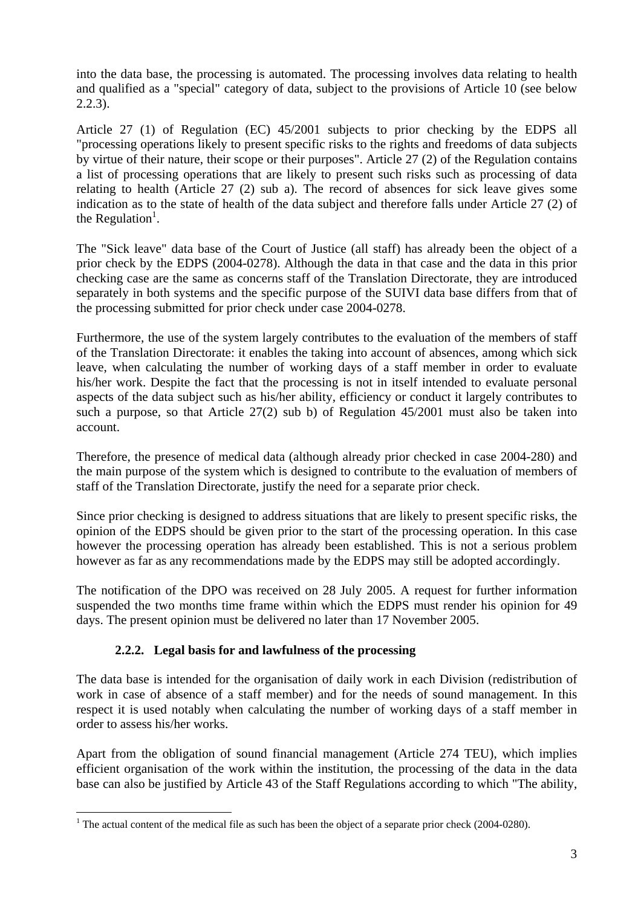into the data base, the processing is automated. The processing involves data relating to health and qualified as a "special" category of data, subject to the provisions of Article 10 (see below 2.2.3).

Article 27 (1) of Regulation (EC) 45/2001 subjects to prior checking by the EDPS all "processing operations likely to present specific risks to the rights and freedoms of data subjects by virtue of their nature, their scope or their purposes". Article 27 (2) of the Regulation contains a list of processing operations that are likely to present such risks such as processing of data relating to health (Article 27 (2) sub a). The record of absences for sick leave gives some indication as to the state of health of the data subject and therefore falls under Article 27 (2) of the Regulation<sup>[1](#page-2-0)</sup>.

The "Sick leave" data base of the Court of Justice (all staff) has already been the object of a prior check by the EDPS (2004-0278). Although the data in that case and the data in this prior checking case are the same as concerns staff of the Translation Directorate, they are introduced separately in both systems and the specific purpose of the SUIVI data base differs from that of the processing submitted for prior check under case 2004-0278.

Furthermore, the use of the system largely contributes to the evaluation of the members of staff of the Translation Directorate: it enables the taking into account of absences, among which sick leave, when calculating the number of working days of a staff member in order to evaluate his/her work. Despite the fact that the processing is not in itself intended to evaluate personal aspects of the data subject such as his/her ability, efficiency or conduct it largely contributes to such a purpose, so that Article 27(2) sub b) of Regulation 45/2001 must also be taken into account.

Therefore, the presence of medical data (although already prior checked in case 2004-280) and the main purpose of the system which is designed to contribute to the evaluation of members of staff of the Translation Directorate, justify the need for a separate prior check.

Since prior checking is designed to address situations that are likely to present specific risks, the opinion of the EDPS should be given prior to the start of the processing operation. In this case however the processing operation has already been established. This is not a serious problem however as far as any recommendations made by the EDPS may still be adopted accordingly.

The notification of the DPO was received on 28 July 2005. A request for further information suspended the two months time frame within which the EDPS must render his opinion for 49 days. The present opinion must be delivered no later than 17 November 2005.

### **2.2.2. Legal basis for and lawfulness of the processing**

The data base is intended for the organisation of daily work in each Division (redistribution of work in case of absence of a staff member) and for the needs of sound management. In this respect it is used notably when calculating the number of working days of a staff member in order to assess his/her works.

Apart from the obligation of sound financial management (Article 274 TEU), which implies efficient organisation of the work within the institution, the processing of the data in the data base can also be justified by Article 43 of the Staff Regulations according to which "The ability,

<span id="page-2-0"></span> $\overline{a}$ <sup>1</sup> The actual content of the medical file as such has been the object of a separate prior check (2004-0280).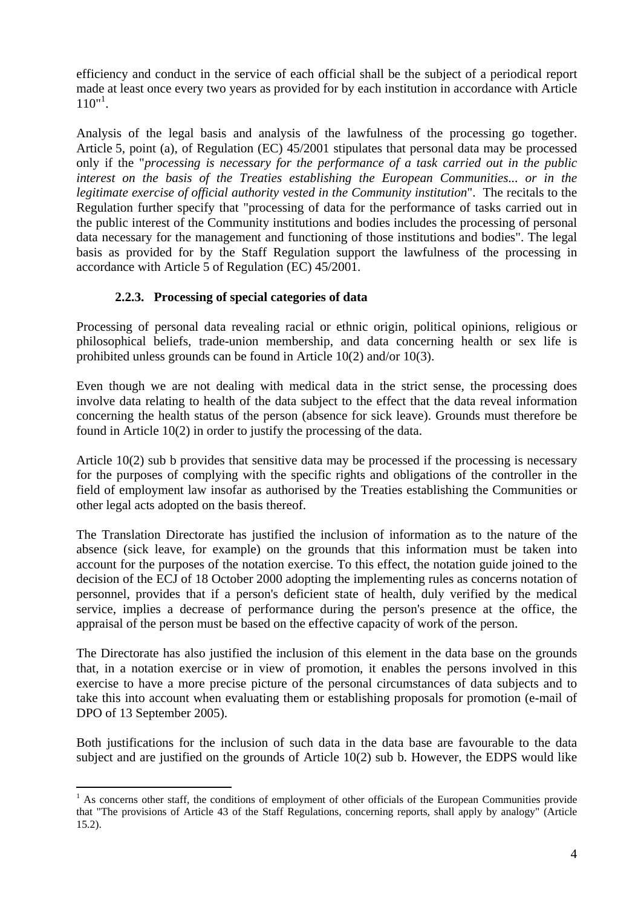efficiency and conduct in the service of each official shall be the subject of a periodical report made at least once every two years as provided for by each institution in accordance with Article  $110^{11}$ .

Analysis of the legal basis and analysis of the lawfulness of the processing go together. Article 5, point (a), of Regulation (EC) 45/2001 stipulates that personal data may be processed only if the "*processing is necessary for the performance of a task carried out in the public interest on the basis of the Treaties establishing the European Communities... or in the legitimate exercise of official authority vested in the Community institution*". The recitals to the Regulation further specify that "processing of data for the performance of tasks carried out in the public interest of the Community institutions and bodies includes the processing of personal data necessary for the management and functioning of those institutions and bodies". The legal basis as provided for by the Staff Regulation support the lawfulness of the processing in accordance with Article 5 of Regulation (EC) 45/2001.

### **2.2.3. Processing of special categories of data**

Processing of personal data revealing racial or ethnic origin, political opinions, religious or philosophical beliefs, trade-union membership, and data concerning health or sex life is prohibited unless grounds can be found in Article 10(2) and/or 10(3).

Even though we are not dealing with medical data in the strict sense, the processing does involve data relating to health of the data subject to the effect that the data reveal information concerning the health status of the person (absence for sick leave). Grounds must therefore be found in Article 10(2) in order to justify the processing of the data.

Article 10(2) sub b provides that sensitive data may be processed if the processing is necessary for the purposes of complying with the specific rights and obligations of the controller in the field of employment law insofar as authorised by the Treaties establishing the Communities or other legal acts adopted on the basis thereof.

The Translation Directorate has justified the inclusion of information as to the nature of the absence (sick leave, for example) on the grounds that this information must be taken into account for the purposes of the notation exercise. To this effect, the notation guide joined to the decision of the ECJ of 18 October 2000 adopting the implementing rules as concerns notation of personnel, provides that if a person's deficient state of health, duly verified by the medical service, implies a decrease of performance during the person's presence at the office, the appraisal of the person must be based on the effective capacity of work of the person.

The Directorate has also justified the inclusion of this element in the data base on the grounds that, in a notation exercise or in view of promotion, it enables the persons involved in this exercise to have a more precise picture of the personal circumstances of data subjects and to take this into account when evaluating them or establishing proposals for promotion (e-mail of DPO of 13 September 2005).

Both justifications for the inclusion of such data in the data base are favourable to the data subject and are justified on the grounds of Article 10(2) sub b. However, the EDPS would like

<span id="page-3-0"></span><sup>&</sup>lt;sup>1</sup> As concerns other staff, the conditions of employment of other officials of the European Communities provide that "The provisions of Article 43 of the Staff Regulations, concerning reports, shall apply by analogy" (Article 15.2).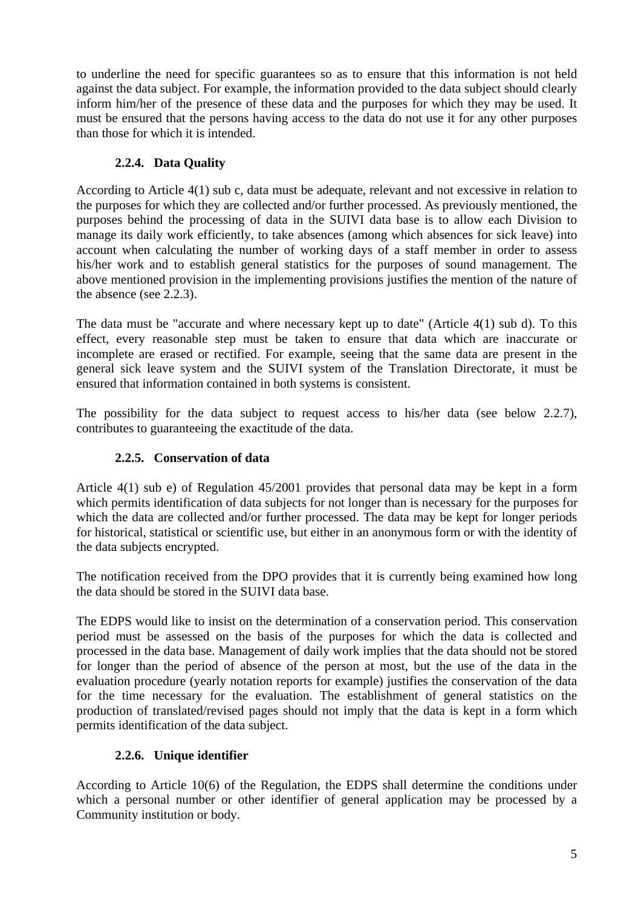to underline the need for specific guarantees so as to ensure that this information is not held against the data subject. For example, the information provided to the data subject should clearly inform him/her of the presence of these data and the purposes for which they may be used. It must be ensured that the persons having access to the data do not use it for any other purposes than those for which it is intended.

# **2.2.4. Data Quality**

According to Article 4(1) sub c, data must be adequate, relevant and not excessive in relation to the purposes for which they are collected and/or further processed. As previously mentioned, the purposes behind the processing of data in the SUIVI data base is to allow each Division to manage its daily work efficiently, to take absences (among which absences for sick leave) into account when calculating the number of working days of a staff member in order to assess his/her work and to establish general statistics for the purposes of sound management. The above mentioned provision in the implementing provisions justifies the mention of the nature of the absence (see 2.2.3).

The data must be "accurate and where necessary kept up to date" (Article 4(1) sub d). To this effect, every reasonable step must be taken to ensure that data which are inaccurate or incomplete are erased or rectified. For example, seeing that the same data are present in the general sick leave system and the SUIVI system of the Translation Directorate, it must be ensured that information contained in both systems is consistent.

The possibility for the data subject to request access to his/her data (see below 2.2.7), contributes to guaranteeing the exactitude of the data.

### **2.2.5. Conservation of data**

Article 4(1) sub e) of Regulation 45/2001 provides that personal data may be kept in a form which permits identification of data subjects for not longer than is necessary for the purposes for which the data are collected and/or further processed. The data may be kept for longer periods for historical, statistical or scientific use, but either in an anonymous form or with the identity of the data subjects encrypted.

The notification received from the DPO provides that it is currently being examined how long the data should be stored in the SUIVI data base.

The EDPS would like to insist on the determination of a conservation period. This conservation period must be assessed on the basis of the purposes for which the data is collected and processed in the data base. Management of daily work implies that the data should not be stored for longer than the period of absence of the person at most, but the use of the data in the evaluation procedure (yearly notation reports for example) justifies the conservation of the data for the time necessary for the evaluation. The establishment of general statistics on the production of translated/revised pages should not imply that the data is kept in a form which permits identification of the data subject.

# **2.2.6. Unique identifier**

According to Article 10(6) of the Regulation, the EDPS shall determine the conditions under which a personal number or other identifier of general application may be processed by a Community institution or body.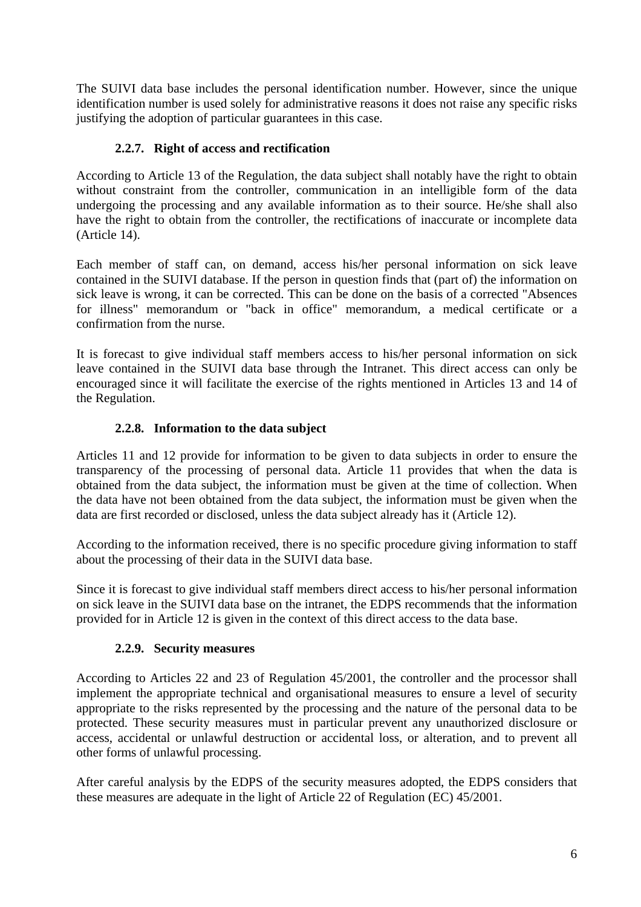The SUIVI data base includes the personal identification number. However, since the unique identification number is used solely for administrative reasons it does not raise any specific risks justifying the adoption of particular guarantees in this case.

### **2.2.7. Right of access and rectification**

According to Article 13 of the Regulation, the data subject shall notably have the right to obtain without constraint from the controller, communication in an intelligible form of the data undergoing the processing and any available information as to their source. He/she shall also have the right to obtain from the controller, the rectifications of inaccurate or incomplete data (Article 14).

Each member of staff can, on demand, access his/her personal information on sick leave contained in the SUIVI database. If the person in question finds that (part of) the information on sick leave is wrong, it can be corrected. This can be done on the basis of a corrected "Absences for illness" memorandum or "back in office" memorandum, a medical certificate or a confirmation from the nurse.

It is forecast to give individual staff members access to his/her personal information on sick leave contained in the SUIVI data base through the Intranet. This direct access can only be encouraged since it will facilitate the exercise of the rights mentioned in Articles 13 and 14 of the Regulation.

# **2.2.8. Information to the data subject**

Articles 11 and 12 provide for information to be given to data subjects in order to ensure the transparency of the processing of personal data. Article 11 provides that when the data is obtained from the data subject, the information must be given at the time of collection. When the data have not been obtained from the data subject, the information must be given when the data are first recorded or disclosed, unless the data subject already has it (Article 12).

According to the information received, there is no specific procedure giving information to staff about the processing of their data in the SUIVI data base.

Since it is forecast to give individual staff members direct access to his/her personal information on sick leave in the SUIVI data base on the intranet, the EDPS recommends that the information provided for in Article 12 is given in the context of this direct access to the data base.

### **2.2.9. Security measures**

According to Articles 22 and 23 of Regulation 45/2001, the controller and the processor shall implement the appropriate technical and organisational measures to ensure a level of security appropriate to the risks represented by the processing and the nature of the personal data to be protected. These security measures must in particular prevent any unauthorized disclosure or access, accidental or unlawful destruction or accidental loss, or alteration, and to prevent all other forms of unlawful processing.

After careful analysis by the EDPS of the security measures adopted, the EDPS considers that these measures are adequate in the light of Article 22 of Regulation (EC) 45/2001.